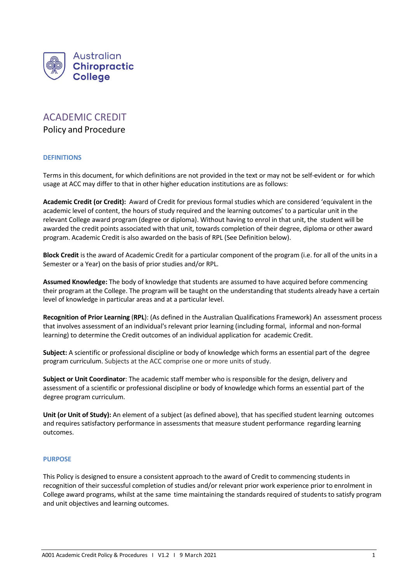

# ACADEMIC CREDIT

Policy and Procedure

## **DEFINITIONS**

Terms in this document, for which definitions are not provided in the text or may not be self-evident or for which usage at ACC may differ to that in other higher education institutions are as follows:

**Academic Credit (or Credit):** Award of Credit for previous formal studies which are considered 'equivalent in the academic level of content, the hours of study required and the learning outcomes' to a particular unit in the relevant College award program (degree or diploma). Without having to enrol in that unit, the student will be awarded the credit points associated with that unit, towards completion of their degree, diploma or other award program. Academic Credit is also awarded on the basis of RPL (See Definition below).

**Block Credit** is the award of Academic Credit for a particular component of the program (i.e. for all of the units in a Semester or a Year) on the basis of prior studies and/or RPL.

**Assumed Knowledge:** The body of knowledge that students are assumed to have acquired before commencing their program at the College. The program will be taught on the understanding that students already have a certain level of knowledge in particular areas and at a particular level.

**Recognition of Prior Learning** (**RPL**): (As defined in the Australian Qualifications Framework) An assessment process that involves assessment of an individual's relevant prior learning (including formal, informal and non-formal learning) to determine the Credit outcomes of an individual application for academic Credit.

**Subject:** A scientific or professional discipline or body of knowledge which forms an essential part of the degree program curriculum. Subjects at the ACC comprise one or more units of study.

**Subject or Unit Coordinator**: The academic staff member who is responsible for the design, delivery and assessment of a scientific or professional discipline or body of knowledge which forms an essential part of the degree program curriculum.

**Unit (or Unit of Study):** An element of a subject (as defined above), that has specified student learning outcomes and requires satisfactory performance in assessments that measure student performance regarding learning outcomes.

## **PURPOSE**

This Policy is designed to ensure a consistent approach to the award of Credit to commencing students in recognition of their successful completion of studies and/or relevant prior work experience prior to enrolment in College award programs, whilst at the same time maintaining the standards required of students to satisfy program and unit objectives and learning outcomes.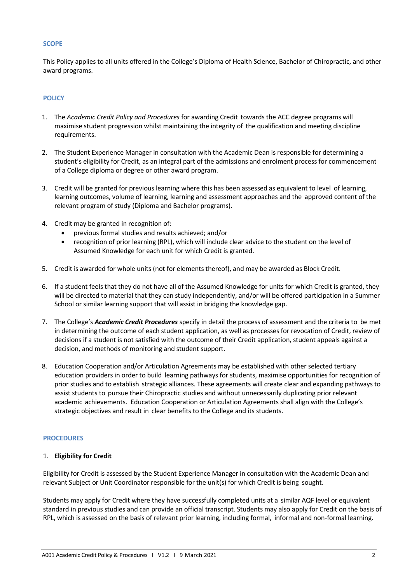#### **SCOPE**

This Policy applies to all units offered in the College's Diploma of Health Science, Bachelor of Chiropractic, and other award programs.

# **POLICY**

- 1. The *Academic Credit Policy and Procedures* for awarding Credit towards the ACC degree programs will maximise student progression whilst maintaining the integrity of the qualification and meeting discipline requirements.
- 2. The Student Experience Manager in consultation with the Academic Dean is responsible for determining a student's eligibility for Credit, as an integral part of the admissions and enrolment process for commencement of a College diploma or degree or other award program.
- 3. Credit will be granted for previous learning where this has been assessed as equivalent to level of learning, learning outcomes, volume of learning, learning and assessment approaches and the approved content of the relevant program of study (Diploma and Bachelor programs).
- 4. Credit may be granted in recognition of:
	- previous formal studies and results achieved; and/or
	- recognition of prior learning (RPL), which will include clear advice to the student on the level of Assumed Knowledge for each unit for which Credit is granted.
- 5. Credit is awarded for whole units (not for elements thereof), and may be awarded as Block Credit.
- 6. If a student feels that they do not have all of the Assumed Knowledge for units for which Credit is granted, they will be directed to material that they can study independently, and/or will be offered participation in a Summer School or similar learning support that will assist in bridging the knowledge gap.
- 7. The College's *Academic Credit Procedures* specify in detail the process of assessment and the criteria to be met in determining the outcome of each student application, as well as processes for revocation of Credit, review of decisions if a student is not satisfied with the outcome of their Credit application, student appeals against a decision, and methods of monitoring and student support.
- 8. Education Cooperation and/or Articulation Agreements may be established with other selected tertiary education providers in order to build learning pathways for students, maximise opportunities for recognition of prior studies and to establish strategic alliances. These agreements will create clear and expanding pathways to assist students to pursue their Chiropractic studies and without unnecessarily duplicating prior relevant academic achievements. Education Cooperation or Articulation Agreements shall align with the College's strategic objectives and result in clear benefits to the College and its students.

## **PROCEDURES**

#### 1. **Eligibility for Credit**

Eligibility for Credit is assessed by the Student Experience Manager in consultation with the Academic Dean and relevant Subject or Unit Coordinator responsible for the unit(s) for which Credit is being sought.

Students may apply for Credit where they have successfully completed units at a similar AQF level or equivalent standard in previous studies and can provide an official transcript. Students may also apply for Credit on the basis of RPL, which is assessed on the basis of relevant prior learning, including formal, informal and non-formal learning.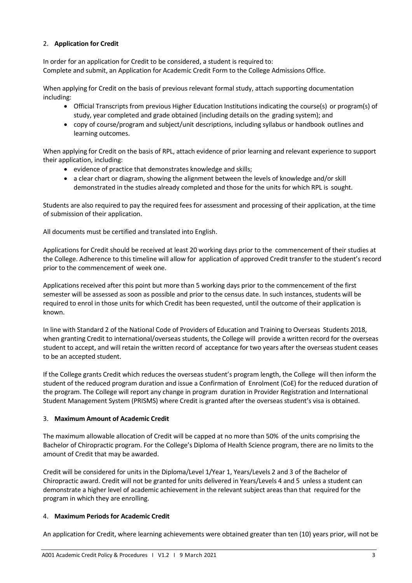# 2. **Application for Credit**

In order for an application for Credit to be considered, a student is required to: Complete and submit, an Application for Academic Credit Form to the College Admissions Office.

When applying for Credit on the basis of previous relevant formal study, attach supporting documentation including:

- Official Transcripts from previous Higher Education Institutions indicating the course(s) or program(s) of study, year completed and grade obtained (including details on the grading system); and
- copy of course/program and subject/unit descriptions, including syllabus or handbook outlines and learning outcomes.

When applying for Credit on the basis of RPL, attach evidence of prior learning and relevant experience to support their application, including:

- evidence of practice that demonstrates knowledge and skills;
- a clear chart or diagram, showing the alignment between the levels of knowledge and/or skill demonstrated in the studies already completed and those for the units for which RPL is sought.

Students are also required to pay the required fees for assessment and processing of their application, at the time of submission of their application.

All documents must be certified and translated into English.

Applications for Credit should be received at least 20 working days prior to the commencement of their studies at the College. Adherence to this timeline will allow for application of approved Credit transfer to the student's record prior to the commencement of week one.

Applications received after this point but more than 5 working days prior to the commencement of the first semester will be assessed as soon as possible and prior to the census date. In such instances, students will be required to enrol in those units for which Credit has been requested, until the outcome of their application is known.

In line with Standard 2 of the National Code of Providers of Education and Training to Overseas Students 2018, when granting Credit to international/overseas students, the College will provide a written record for the overseas student to accept, and will retain the written record of acceptance for two years after the overseas student ceases to be an accepted student.

If the College grants Credit which reduces the overseas student's program length, the College will then inform the student of the reduced program duration and issue a Confirmation of Enrolment (CoE) for the reduced duration of the program. The College will report any change in program duration in Provider Registration and International Student Management System (PRISMS) where Credit is granted after the overseas student's visa is obtained.

## 3. **Maximum Amount of Academic Credit**

The maximum allowable allocation of Credit will be capped at no more than 50% of the units comprising the Bachelor of Chiropractic program. For the College's Diploma of Health Science program, there are no limits to the amount of Credit that may be awarded.

Credit will be considered for units in the Diploma/Level 1/Year 1, Years/Levels 2 and 3 of the Bachelor of Chiropractic award. Credit will not be granted for units delivered in Years/Levels 4 and 5 unless a student can demonstrate a higher level of academic achievement in the relevant subject areas than that required for the program in which they are enrolling.

## 4. **Maximum Periods for Academic Credit**

An application for Credit, where learning achievements were obtained greater than ten (10) years prior, will not be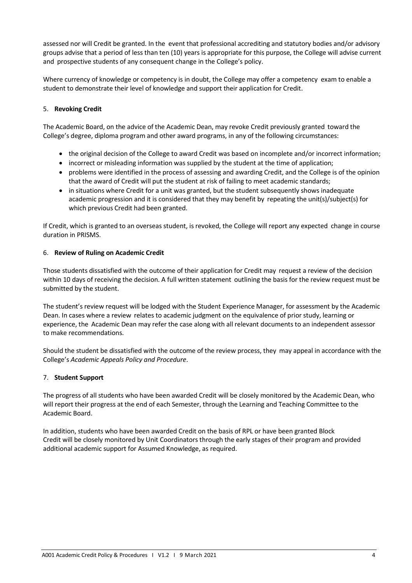assessed nor will Credit be granted. In the event that professional accrediting and statutory bodies and/or advisory groups advise that a period of less than ten (10) years is appropriate for this purpose, the College will advise current and prospective students of any consequent change in the College's policy.

Where currency of knowledge or competency is in doubt, the College may offer a competency exam to enable a student to demonstrate their level of knowledge and support their application for Credit.

# 5. **Revoking Credit**

The Academic Board, on the advice of the Academic Dean, may revoke Credit previously granted toward the College's degree, diploma program and other award programs, in any of the following circumstances:

- the original decision of the College to award Credit was based on incomplete and/or incorrect information;
- incorrect or misleading information was supplied by the student at the time of application;
- problems were identified in the process of assessing and awarding Credit, and the College is of the opinion that the award of Credit will put the student at risk of failing to meet academic standards;
- in situations where Credit for a unit was granted, but the student subsequently shows inadequate academic progression and it is considered that they may benefit by repeating the unit(s)/subject(s) for which previous Credit had been granted.

If Credit, which is granted to an overseas student, is revoked, the College will report any expected change in course duration in PRISMS.

# 6. **Review of Ruling on Academic Credit**

Those students dissatisfied with the outcome of their application for Credit may request a review of the decision within 10 days of receiving the decision. A full written statement outlining the basis for the review request must be submitted by the student.

The student's review request will be lodged with the Student Experience Manager, for assessment by the Academic Dean. In cases where a review relates to academic judgment on the equivalence of prior study, learning or experience, the Academic Dean may refer the case along with all relevant documents to an independent assessor to make recommendations.

Should the student be dissatisfied with the outcome of the review process, they may appeal in accordance with the College's *Academic Appeals Policy and Procedure*.

# 7. **Student Support**

The progress of all students who have been awarded Credit will be closely monitored by the Academic Dean, who will report their progress at the end of each Semester, through the Learning and Teaching Committee to the Academic Board.

In addition, students who have been awarded Credit on the basis of RPL or have been granted Block Credit will be closely monitored by Unit Coordinators through the early stages of their program and provided additional academic support for Assumed Knowledge, as required.